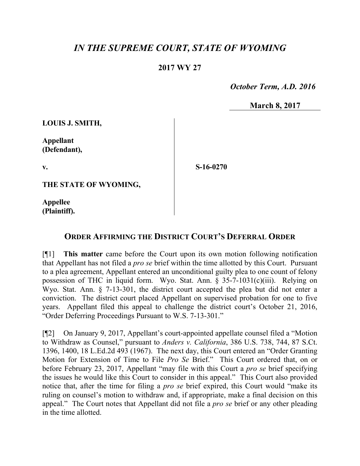## *IN THE SUPREME COURT, STATE OF WYOMING*

## **2017 WY 27**

 *October Term, A.D. 2016*

**March 8, 2017**

**LOUIS J. SMITH,**

**Appellant (Defendant),**

**v.**

**S-16-0270**

**THE STATE OF WYOMING,**

**Appellee (Plaintiff).**

## **ORDER AFFIRMING THE DISTRICT COURT'S DEFERRAL ORDER**

[¶1] **This matter** came before the Court upon its own motion following notification that Appellant has not filed a *pro se* brief within the time allotted by this Court. Pursuant to a plea agreement, Appellant entered an unconditional guilty plea to one count of felony possession of THC in liquid form. Wyo. Stat. Ann. § 35-7-1031(c)(iii). Relying on Wyo. Stat. Ann. § 7-13-301, the district court accepted the plea but did not enter a conviction. The district court placed Appellant on supervised probation for one to five years. Appellant filed this appeal to challenge the district court's October 21, 2016, "Order Deferring Proceedings Pursuant to W.S. 7-13-301."

[¶2] On January 9, 2017, Appellant's court-appointed appellate counsel filed a "Motion to Withdraw as Counsel," pursuant to *Anders v. California*, 386 U.S. 738, 744, 87 S.Ct. 1396, 1400, 18 L.Ed.2d 493 (1967). The next day, this Court entered an "Order Granting Motion for Extension of Time to File *Pro Se* Brief." This Court ordered that, on or before February 23, 2017, Appellant "may file with this Court a *pro se* brief specifying the issues he would like this Court to consider in this appeal." This Court also provided notice that, after the time for filing a *pro se* brief expired, this Court would "make its ruling on counsel's motion to withdraw and, if appropriate, make a final decision on this appeal." The Court notes that Appellant did not file a *pro se* brief or any other pleading in the time allotted.